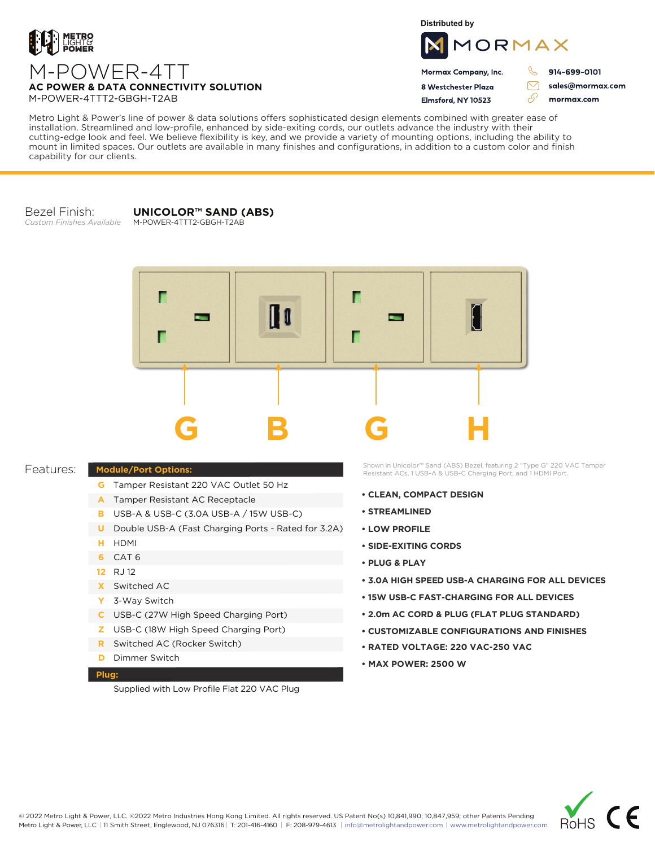

**Distributed by**



 $\triangledown$ 

76

Mormax Company, Inc. 8 Westchester Plaza

Flmsford, NY 10523

914-699-0101

sales@mormax.com mormax.com

M-POWER-4TT **AC POWER & DATA CONNECTIVITY SOLUTION** M-POWER-4TTT2-GBGH-T2AB

Metro Light & Power's line of power & data solutions offers sophisticated design elements combined with greater ease of installation. Streamlined and low-profile, enhanced by side-exiting cords, our outlets advance the industry with their cutting-edge look and feel. We believe flexibility is key, and we provide a variety of mounting options, including the ability to mount in limited spaces. Our outlets are available in many finishes and configurations, in addition to a custom color and finish capability for our clients.

Bezel Finish: *Custom Finishes Available*

**UNICOLOR™ SAND (ABS)** M-POWER-4TTT2-GBGH-T2AB

Г Г **B B**arrison Г Г **G B G H**

## Features:

- **G** Tamper Resistant 220 VAC Outlet 50 Hz
- A Tamper Resistant AC Receptacle
- USB-A & USB-C (3.0A USB-A / 15W USB-C) **B**
- U Double USB-A (Fast Charging Ports Rated for 3.2A)
- HDMI **H**
- CAT 6 **6**
- 12 RJ 12
- Switched AC **X**

**Module/Port Options:**

- 3-Way Switch **Y**
- USB-C (27W High Speed Charging Port) **C**
- USB-C (18W High Speed Charging Port) **Z**
- Switched AC (Rocker Switch) **R**
- **D** Dimmer Switch

## **Plug:**

Supplied with Low Profile Flat 220 VAC Plug

Shown in Unicolor™ Sand (ABS) Bezel, featuring 2 "Type G" 220 VAC Tamper Resistant ACs, 1 USB-A & USB-C Charging Port, and 1 HDMI Port.

- **CLEAN, COMPACT DESIGN**
- **STREAMLINED**
- **LOW PROFILE**
- **SIDE-EXITING CORDS**
- **PLUG & PLAY**
- **3.0A HIGH SPEED USB-A CHARGING FOR ALL DEVICES**
- **15W USB-C FAST-CHARGING FOR ALL DEVICES**
- **2.0m AC CORD & PLUG (FLAT PLUG STANDARD)**
- **CUSTOMIZABLE CONFIGURATIONS AND FINISHES**
- **• RATED VOLTAGE: 220 VAC-250 VAC**
- **MAX POWER: 2500 W**